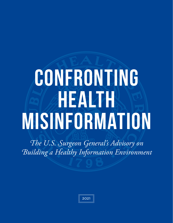# **Confronting HEANZH Misinformation**

*The U.S. Surgeon General's Advisory on Building a Healthy Information Environment*

| 2021 |
|------|
|------|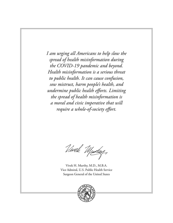*I am urging all Americans to help slow the spread of health misinformation during the COVID-19 pandemic and beyond. Health misinformation is a serious threat to public health. It can cause confusion, sow mistrust, harm people's health, and undermine public health efforts. Limiting the spread of health misinformation is a moral and civic imperative that will require a whole-of-society effort.* 

Vwele Murkey,

Vivek H. Murthy, M.D., M.B.A. Vice Admiral, U.S. Public Health Service Surgeon General of the United States

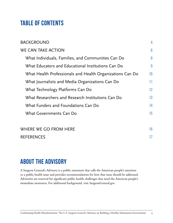## **Table of Contents**

| <b>BACKGROUND</b>                                         | 4  |
|-----------------------------------------------------------|----|
| <b>WE CAN TAKE ACTION</b>                                 | 6  |
| What Individuals, Families, and Communities Can Do        | 8  |
| What Educators and Educational Institutions Can Do        | 9  |
| What Health Professionals and Health Organizations Can Do | 10 |
| What Journalists and Media Organizations Can Do           | 11 |
| What Technology Platforms Can Do                          | 12 |
| What Researchers and Research Institutions Can Do         | 13 |
| What Funders and Foundations Can Do                       | 14 |
| What Governments Can Do                                   | 15 |
| WHERE WE GO FROM HERE                                     | 16 |
| <b>REFERENCES</b>                                         | 17 |

## **ABOUT THE ADVISORY**

A Surgeon General's Advisory is a public statement that calls the American people's attention to a public health issue and provides recommendations for how that issue should be addressed. Advisories are reserved for significant public health challenges that need the American people's immediate awareness. For additional background, visit [SurgeonGeneral.gov](http://SurgeonGeneral.gov).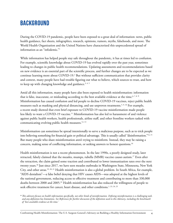## <span id="page-3-0"></span>**BACKGROUND**

During the COVID-19 pandemic, people have been exposed to a great deal of information: news, public health guidance, fact sheets, infographics, research, opinions, rumors, myths, falsehoods, and more. The World Health Organization and the United Nations have characterized this unprecedented spread of information as an "infodemic."1

While information has helped people stay safe throughout the pandemic, it has at times led to confusion. For example, scientific knowledge about COVID-19 has evolved rapidly over the past year, sometimes leading to changes in public health recommendations. Updating assessments and recommendations based on new evidence is an essential part of the scientific process, and further changes are to be expected as we continue learning more about COVID-19.<sup>2</sup> But without sufficient communication that provides clarity and context, many people have had trouble figuring out what to believe, which sources to trust, and how to keep up with changing knowledge and guidance.<sup>3, 4, 5</sup>

Amid all this information, many people have also been exposed to health misinformation: information that is false, inaccurate, or misleading according to the best available evidence at the time.<sup>6,7,8</sup>  $*$ Misinformation has caused confusion and led people to decline COVID-19 vaccines, reject public health measures such as masking and physical distancing, and use unproven treatments.<sup>5, 9, 10</sup> For example, a recent study showed that even brief exposure to COVID-19 vaccine misinformation made people less likely to want a COVID-19 vaccine.<sup>11</sup> Misinformation has also led to harassment of and violence against public health workers, health professionals, airline staff, and other frontline workers tasked with communicating evolving public health measures. $^{12, 13}$ 

Misinformation can sometimes be spread intentionally to serve a malicious purpose, such as to trick people into believing something for financial gain or political advantage. This is usually called "disinformation."14, 15 But many people who share misinformation aren't trying to misinform. Instead, they may be raising a concern, making sense of conflicting information, or seeking answers to honest questions.16

Health misinformation is not a recent phenomenon. In the late 1990s, a poorly designed study, later retracted, falsely claimed that the measles, mumps, rubella (MMR) vaccine causes autism.<sup>17</sup> Even after the retraction, the claim gained some traction and contributed to lower immunization rates over the next twenty years.<sup>18</sup> Just since 2017, we have seen measles outbreaks in Washington State, Minnesota, New York City, and other areas.<sup>19, 20, 21</sup> Health misinformation is also a global problem. In South Africa, for example, "AIDS denialism"—a false belief denying that HIV causes AIDS—was adopted at the highest levels of the national government, reducing access to effective treatment and contributing to more than 330,000 deaths between 2000 and 2005.22 Health misinformation has also reduced the willingness of people to seek effective treatment for cancer, heart disease, and other conditions.<sup>1, 23, 24, 25</sup>

*This advisory focuses on health information specifically, not other kinds of misinformation. Defining misinformation is a challenging task,*  \**and any definition has limitations. See References for further discussion of the definition used in this Advisory, including the benchmark of 'best available evidence at the time.'*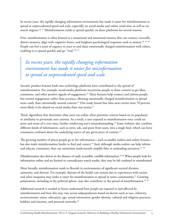In recent years, the rapidly changing information environment has made it easier for misinformation to spread at unprecedented speed and scale, especially on social media and online retail sites, as well as via search engines.<sup>26, 27</sup> Misinformation tends to spread quickly on these platforms for several reasons.

First, misinformation is often framed in a sensational and emotional manner that can connect viscerally, distort memory, align with cognitive biases, and heighten psychological responses such as anxiety. $^{28,\,29,\,30}$ People can feel a sense of urgency to react to and share emotionally charged misinformation with others, enabling it to spread quickly and go "viral."24, 31

*In recent years, the rapidly changing information environment has made it easier for misinformation to spread at unprecedented speed and scale.*

Second, product features built into technology platforms have contributed to the spread of misinformation. For example, social media platforms incentivize people to share content to get likes, comments, and other positive signals of engagement. $32$  These features help connect and inform people but reward engagement rather than accuracy, allowing emotionally charged misinformation to spread more easily than emotionally neutral content. $^{33}$  One study found that false news stories were 70 percent more likely to be shared on social media than true stories.<sup>31</sup>

Third, algorithms that determine what users see online often prioritize content based on its popularity or similarity to previously seen content. As a result, a user exposed to misinformation once could see more and more of it over time, further reinforcing one's misunderstanding.<sup>34</sup> Some websites also combine different kinds of information, such as news, ads, and posts from users, into a single feed, which can leave consumers confused about the underlying source of any given piece of content.<sup>35</sup>

The growing number of places people go to for information—such as smaller outlets and online forums has also made misinformation harder to find and correct. $^{36}$  And, although media outlets can help inform and educate consumers, they can sometimes inadvertently amplify false or misleading narratives.<sup>37, 38</sup>

Misinformation also thrives in the absence of easily accessible, credible information.<sup>39, 40</sup> When people look for information online and see limited or contradictory search results, they may be left confused or misinformed.

More broadly, misinformation tends to flourish in environments of significant societal division, animosity, and distrust. For example, distrust of the health care system due to experiences with racism and other inequities may make it easier for misinformation to spread in some communities. $^{\rm 41}$  Growing polarization, including in the political sphere, may also contribute to the spread of misinformation.<sup>42, 43</sup>

Additional research is needed to better understand how people are exposed to and affected by misinformation and how this may vary across subpopulations based on factors such as race, ethnicity, socioeconomic status, education, age, sexual orientation, gender identity, cultural and religious practices, hobbies and interests, and personal networks.<sup>44</sup>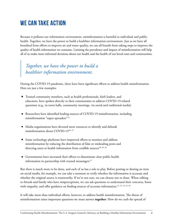# <span id="page-5-0"></span>**WE CAN TAKE ACTION**

Because it pollutes our information environment, misinformation is harmful to individual and public health. Together, we have the power to build a healthier information environment. Just as we have all benefited from efforts to improve air and water quality, we can all benefit from taking steps to improve the quality of health information we consume. Limiting the prevalence and impact of misinformation will help all of us make more informed decisions about our health and the health of our loved ones and communities.

## *Together, we have the power to build a healthier information environment.*

During the COVID-19 pandemic, there have been significant efforts to address health misinformation. Here are just a few examples:

- Trusted community members, such as health professionals, faith leaders, and educators, have spoken directly to their communities to address COVID-19-related questions (e.g., in town halls, community meetings, via social and traditional media)
- Researchers have identified leading sources of COVID-19 misinformation, including misinformation "super-spreaders" <sup>45</sup>
- Media organizations have devoted more resources to identify and debunk misinformation about COVID-19<sup>46, 47</sup>
- Some technology platforms have improved efforts to monitor and address misinformation by reducing the distribution of false or misleading posts and directing users to health information from credible sources<sup>48, 49, 50</sup>
- Governments have increased their efforts to disseminate clear public health information in partnership with trusted messengers<sup>51</sup>

But there is much more to be done, and each of us has a role to play. Before posting or sharing an item on social media, for example, we can take a moment to verify whether the information is accurate and whether the original source is trustworthy. If we're not sure, we can choose not to share. When talking to friends and family who have misperceptions, we can ask questions to understand their concerns, listen with empathy, and offer guidance on finding sources of accurate information.<sup>52, 53, 54, 55, 56</sup>

It will take more than individual efforts, however, to address health misinformation. The threat of misinformation raises important questions we must answer **together**: How do we curb the spread of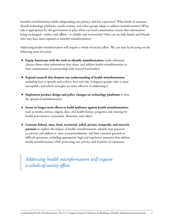harmful misinformation while safeguarding user privacy and free expression? What kinds of measures should technology platforms, media entities, and other groups adopt to address misinformation? What role is appropriate for the government to play? How can local communities ensure that information being exchanged—online and offline—is reliable and trustworthy? How can we help family and friends who may have been exposed to harmful misinformation?

Addressing health misinformation will require a whole-of-society effort. We can start by focusing on the following areas of action:

- **Equip Americans with the tools to identify misinformation,** make informed choices about what information they share, and address health misinformation in their communities, in partnership with trusted local leaders
- **Expand research that deepens our understanding of health misinformation,**  including how it spreads and evolves; how and why it impacts people; who is most susceptible; and which strategies are most effective in addressing it
- **IMPLEMENTER IMPLEMENT META Implement product design and policy changes on technology platforms** to slow the spread of misinformation
- **Invest in longer-term efforts to build resilience against health misinformation,** such as media, science, digital, data, and health literacy programs and training for health practitioners, journalists, librarians, and others
- **Convene federal, state, local, territorial, tribal, private, nonprofit, and research partners** to explore the impact of health misinformation, identify best practices to prevent and address it, issue recommendations, and find common ground on difficult questions, including appropriate legal and regulatory measures that address health misinformation while protecting user privacy and freedom of expression

*Addressing health misinformation will require a whole-of-society effort.*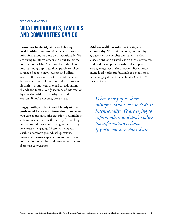## <span id="page-7-0"></span>**What Individuals, Families, and Communities Can Do**

#### **Learn how to identify and avoid sharing**

**health misinformation.** When many of us share misinformation, we don't do it intentionally: We are trying to inform others and don't realize the information is false. Social media feeds, blogs, forums, and group chats allow people to follow a range of people, news outlets, and official sources. But not every post on social media can be considered reliable. And misinformation can flourish in group texts or email threads among friends and family. Verify accuracy of information by checking with trustworthy and credible sources. If you're not sure, don't share.

**Engage with your friends and family on the problem of health misinformation.** If someone you care about has a misperception, you might be able to make inroads with them by first seeking to understand instead of passing judgment. Try new ways of engaging: Listen with empathy, establish common ground, ask questions, provide alternative explanations and sources of information, stay calm, and don't expect success from one conversation.

**Address health misinformation in your community.** Work with schools, community groups such as churches and parent-teacher associations, and trusted leaders such as educators and health care professionals to develop local strategies against misinformation. For example, invite local health professionals to schools or to faith congregations to talk about COVID-19 vaccine facts.

*When many of us share misinformation, we don't do it intentionally: We are trying to inform others and don't realize the information is false... If you're not sure, don't share.*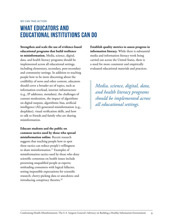## <span id="page-8-0"></span>**What Educators and Educational Institutions Can Do**

**Strengthen and scale the use of evidence-based educational programs that build resilience to misinformation.** Media, science, digital, data, and health literacy programs should be implemented across all educational settings, including elementary, secondary, post-secondary and community settings. In addition to teaching people how to be more discerning about the credibility of news and other content, educators should cover a broader set of topics, such as information overload, internet infrastructure (e.g., IP addresses, metadata), the challenges of content moderation, the impact of algorithms on digital outputs, algorithmic bias, artifcial intelligence (AI)-generated misinformation (e.g., deepfakes), visual verifcation skills, and how to talk to friends and family who are sharing misinformation.

**Educate students and the public on common tactics used by those who spread misinformation online.** Recent research suggests that teaching people how to spot these tactics can reduce people's willingness to share [misinformation.57](https://misinformation.57) Examples of misinformation tactics used by those who deny scientifc consensus on health issues include presenting unqualifed people as experts; misleading consumers with logical fallacies; setting impossible expectations for scientifc research; cherry-picking data or anecdotes; and introducing conspiracy theories.<sup>58</sup>

**Establish quality metrics to assess progress in information literacy.** While there is substantial media and information literacy work being carried out across the United States, there is a need for more consistent and empirically evaluated educational materials and practices.

*Media, science, digital, data, and health literacy programs should be implemented across all educational settings.*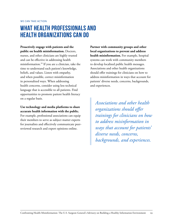## <span id="page-9-0"></span>**What Health Professionals and Health Organizations Can Do**

**Proactively engage with patients and the public on health misinformation.** Doctors, nurses, and other clinicians are highly trusted and can be effective in addressing health misinformation.<sup>59</sup> If you are a clinician, take the time to understand each patient's knowledge, beliefs, and values. Listen with empathy, and when possible, correct misinformation in personalized ways. When addressing health concerns, consider using less technical language that is accessible to all patients. Find opportunities to promote patient health literacy on a regular basis.

## **Use technology and media platforms to share accurate health information with the public.**

For example, professional associations can equip their members to serve as subject matter experts for journalists and effectively communicate peerreviewed research and expert opinions online.

**Partner with community groups and other local organizations to prevent and address health misinformation.** For example, hospital systems can work with community members to develop localized public health messages. Associations and other health organizations should offer trainings for clinicians on how to address misinformation in ways that account for patients' diverse needs, concerns, backgrounds, and experiences.

*Associations and other health organizations should offer trainings for clinicians on how to address misinformation in ways that account for patients' diverse needs, concerns, backgrounds, and experiences.*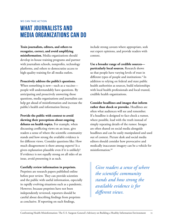<span id="page-10-0"></span>WE CAN TAKE ACTION

## **What Journalists and Media Organizations Can Do**

**Train journalists, editors, and others to recognize, correct, and avoid amplifying misinformation.** Media organizations should develop in-house training programs and partner with journalism schools, nonprofits, technology platforms, and others to democratize access to high-quality training for all media outlets.

#### **Proactively address the public's questions.**

When something is new—such as a vaccine people will understandably have questions. By anticipating and proactively answering those questions, media organizations and journalists can help get ahead of misinformation and increase the public's health and information literacy.

**Provide the public with context to avoid skewing their perceptions about ongoing debates on health topics.** For example, when discussing conflicting views on an issue, give readers a sense of where the scientific community stands and how strong the available evidence is for different views. Consider questions like: How much disagreement is there among experts? Is a given explanation plausible even if it is unlikely? If evidence is not equally strong on all sides of an issue, avoid presenting it as such.

#### **Carefully review information in preprints.**

Preprints are research papers published online before peer review. They can provide scientists and the public with useful information, especially in rapidly evolving situations such as a pandemic. However, because preprints have not been independently reviewed, reporters should be careful about describing findings from preprints as conclusive. If reporting on such findings,

include strong caveats where appropriate, seek out expert opinions, and provide readers with context.

**Use a broader range of credible sources particularly local sources.** Research shows us that people have varying levels of trust in different types of people and institutions.<sup>4</sup> In addition to relying on federal and state public health authorities as sources, build relationships with local health professionals and local trusted, credible health organizations.

**Consider headlines and images that inform rather than shock or provoke.** Headlines are often what audiences will see and remember. If a headline is designed to fact-check a rumor, where possible, lead with the truth instead of simply repeating details of the rumor. Images are often shared on social media alongside headlines and can be easily manipulated and used out of context. Picture desk and social media editors should consider how provocative and medically inaccurate imagery can be a vehicle for misinformation.<sup>60</sup>

*Give readers a sense of where the scientific community stands and how strong the available evidence is for different views.*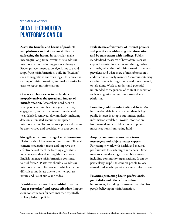## <span id="page-11-0"></span>**What Technology Platforms Can Do**

**Assess the benefits and harms of products and platforms and take responsibility for addressing the harms.** In particular, make meaningful long-term investments to address misinformation, including product changes. Redesign recommendation algorithms to avoid amplifying misinformation, build in "frictions" such as suggestions and warnings—to reduce the sharing of misinformation, and make it easier for users to report misinformation.

**Give researchers access to useful data to properly analyze the spread and impact of misinformation.** Researchers need data on what people see and hear, not just what they engage with, and what content is moderated (e.g., labeled, removed, downranked), including data on automated accounts that spread misinformation. To protect user privacy, data can be anonymized and provided with user consent.

**Strengthen the monitoring of misinformation.**

Platforms should increase staffing of multilingual content moderation teams and improve the effectiveness of machine learning algorithms in languages other than English since non-English-language misinformation continues to proliferate.<sup>61</sup> Platforms should also address misinformation in live streams, which are more difficult to moderate due to their temporary nature and use of audio and video.

**Prioritize early detection of misinformation "super-spreaders" and repeat offenders.** Impose clear consequences for accounts that repeatedly violate platform policies.

**Evaluate the effectiveness of internal policies and practices in addressing misinformation and be transparent with findings.** Publish standardized measures of how often users are exposed to misinformation and through what channels, what kinds of misinformation are most prevalent, and what share of misinformation is addressed in a timely manner. Communicate why certain content is flagged, removed, downranked, or left alone. Work to understand potential unintended consequences of content moderation, such as migration of users to less-moderated platforms.

**Proactively address information deficits.** An information deficit occurs when there is high public interest in a topic but limited quality information available. Provide information from trusted and credible sources to prevent misconceptions from taking hold.40

## **Amplify communications from trusted messengers and subject matter experts.** For example, work with health and medical professionals to reach target audiences. Direct

users to a broader range of credible sources, including community organizations. It can be particularly helpful to connect people to local trusted leaders who provide accurate information.

### **Prioritize protecting health professionals, journalists, and others from online**

**harassment,** including harassment resulting from people believing in misinformation.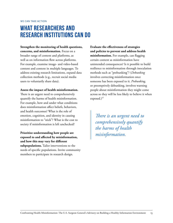## <span id="page-12-0"></span>**What Researchers and research institutions Can Do**

**Strengthen the monitoring of health questions, concerns, and misinformation.** Focus on a broader range of content and platforms, as well as on information flow across platforms. For example, examine image- and video-based content and content in multiple languages. To address existing research limitations, expand data collection methods (e.g., recruit social media users to voluntarily share data).

#### **Assess the impact of health misinformation.**

There is an urgent need to comprehensively quantify the harms of health misinformation. For example, how and under what conditions does misinformation affect beliefs, behaviors, and health outcomes? What is the role of emotion, cognition, and identity in causing misinformation to "stick"? What is the cost to society if misinformation is left unchecked?

**Prioritize understanding how people are exposed to and affected by misinformation, and how this may vary for different subpopulations.** Tailor interventions to the needs of specific populations. Invite community members to participate in research design.

**Evaluate the effectiveness of strategies and policies to prevent and address health misinformation.** For example, can flagging certain content as misinformation have unintended consequences? Is it possible to build resilience to misinformation through inoculation methods such as "prebunking"? (*Debunking* involves correcting misinformation once someone has been exposed to it. *Prebunking,* or preemptively debunking, involves warning people about misinformation they might come across so they will be less likely to believe it when exposed.)<sup>57</sup>

*There is an urgent need to comprehensively quantify the harms of health misinformation.*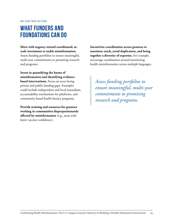<span id="page-13-0"></span>WE CAN TAKE ACTION

## **What Funders and Foundations Can Do**

**Move with urgency toward coordinated, atscale investment to tackle misinformation.** Assess funding portfolios to ensure meaningful, multi-year commitments to promising research and programs.

**Invest in quantifying the harms of misinformation and identifying evidencebased interventions.** Focus on areas facing private and public funding gaps. Examples could include independent and local journalism, accountability mechanisms for platforms, and community-based health literacy programs.

**Provide training and resources for grantees working in communities disproportionately affected by misinformation** (e.g., areas with lower vaccine confidence).

**Incentivize coordination across grantees to maximize reach, avoid duplication, and bring together a diversity of expertise.** For example, encourage coordination around monitoring health misinformation across multiple languages.

*Assess funding portfolios to ensure meaningful, multi-year commitments to promising research and programs.*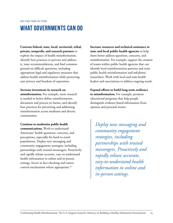# <span id="page-14-0"></span>**What Governments Can Do**

**Convene federal, state, local, territorial, tribal, private, nonprofit, and research partners** to explore the impact of health misinformation, identify best practices to prevent and address it, issue recommendations, and find common ground on difficult questions, including appropriate legal and regulatory measures that address health misinformation while protecting user privacy and freedom of expression.

**Increase investment in research on misinformation.** For example, more research is needed to better define misinformation, document and process its harms, and identify best practices for preventing and addressing misinformation across mediums and diverse communities.

**Continue to modernize public health communications.** Work to understand Americans' health questions, concerns, and perceptions, especially for hard-to-reach populations. Deploy new messaging and community engagement strategies, including partnerships with trusted messengers. Proactively and rapidly release accurate, easy-to-understand health information in online and in-person settings. Invest in fact-checking and rumor control mechanisms where appropriate.<sup>62</sup>

**Increase resources and technical assistance to state and local public health agencies** to help them better address questions, concerns, and misinformation. For example, support the creation of teams within public health agencies that can identify local misinformation patterns and train public health misinformation and infodemic researchers. Work with local and state health leaders and associations to address ongoing needs.

**Expand efforts to build long-term resilience to misinformation.** For example, promote educational programs that help people distinguish evidence-based information from opinion and personal stories.

*Deploy new messaging and community engagement strategies, including partnerships with trusted messengers. Proactively and rapidly release accurate, easy-to-understand health information in online and in-person settings.*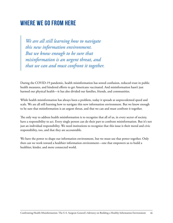## <span id="page-15-0"></span>**Where We Go From Here**

*We are all still learning how to navigate this new information environment. But we know enough to be sure that misinformation is an urgent threat, and that we can and must confront it together.*

During the COVID-19 pandemic, health misinformation has sowed confusion, reduced trust in public health measures, and hindered efforts to get Americans vaccinated. And misinformation hasn't just harmed our physical health—it has also divided our families, friends, and communities.

While health misinformation has always been a problem, today it spreads at unprecedented speed and scale. We are all still learning how to navigate this new information environment. But we know enough to be sure that misinformation is an urgent threat, and that we can and must confront it together.

The only way to address health misinformation is to recognize that all of us, in every sector of society, have a responsibility to act. Every single person can do their part to confront misinformation. But it's not just an individual responsibility. We need institutions to recognize that this issue is their moral and civic responsibility, too, and that they are accountable.

We have the power to shape our information environment, but we must use that power together. Only then can we work toward a healthier information environment—one that empowers us to build a healthier, kinder, and more connected world.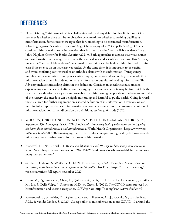# <span id="page-16-0"></span>**References**

- Note: Defining "misinformation" is a challenging task, and any definition has limitations. One key issue is whether there can be an objective benchmark for whether something qualifies as misinformation. Some researchers argue that for something to be considered misinformation, it has to go against "scientific consensus" (e.g., Chou, Gaysynsky, & Cappella (2020)). Others consider misinformation to be information that is contrary to the "best available evidence" (e.g., Johns Hopkins Center for Health Security (2021)). Both approaches recognize that what counts as misinformation can change over time with new evidence and scientific consensus. This Advisory prefers the "best available evidence" benchmark since claims can be highly misleading and harmful even if the science on an issue isn't yet settled. At the same time, it is important to be careful and avoid conflating controversial or unorthodox claims with misinformation. Transparency, humility, and a commitment to open scientific inquiry are critical. A second key issue is whether misinformation should include not only false information but also misleading information. This Advisory includes misleading claims in the definition. Consider an anecdote about someone experiencing a rare side effect after a routine surgery. The specific anecdote may be true but hide the fact that the side effect is very rare and treatable. By misinforming people about the benefits and risks of the surgery, the anecdote can be highly misleading and harmful to public health. Going forward, there is a need for further alignment on a shared definition of misinformation. However, we can meaningfully improve the health information environment even without a consensus definition of misinformation. For further discussion on definitions, see Vraga & Bode (2020).
- WHO, UN, UNICEF, UNDP, UNESCO, UNAIDS, ITU, UN Global Pulse, & IFRC. (2020, **1** September 23). *Managing the COVID-19 infodemic: Promoting healthy behaviours and mitigating the harm from misinformation and disinformation.* World Health Organization. https://www.who. int/news/item/23-09-2020-managing-the-covid-19-infodemic-promoting-healthy-behaviours-andmitigating-the-harm-from-misinformation-and-disinformation
- Branswell, H. (2021, April 21). *We know a lot about Covid-19. Experts have many more questions.* **2** STAT News. https://www.statnews.com/2021/04/20/we-know-a-lot-about-covid-19-experts-havemany-more-questions/
- Smith, R., Cubbon, S., & Wardle, C. (2020, November 12). *Under the surface: Covid-19 vaccine*  **3** *narratives, misinformation & data deficits on social media.* First Draft. https://firstdraftnews.org/ vaccinenarratives-full-report-november-2020
- Baum, M., Ognyanova, K., Chwe, H., Quintana, A., Perlis, R. H., Lazer, D., Druckman, J., Santillana, **4** M., Lin, J., Della Volpe, J., Simonson, M.D., & Green, J. (2021). The COVID states project #14: Misinformation and vaccine acceptance. *OSF Preprints.* http://doi.org/10.31219/osf.io/w974j
- Roozenbeek, J., Schneider, C., Dryhurst, S., Kerr, J., Freeman, A.L.J., Recchia, G., van der Bles, **5** A.M., & van der Linden, S. (2020). Susceptibility to misinformation about COVID-19 around the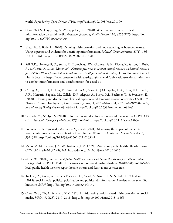world. *Royal Society Open Science, 7*(10). http://doi.org/10.1098/rsos.201199

- Chou, W.Y.S., Gaysynsky, A., & Cappella, J. N. (2020). Where we go from here: Health **6** misinformation on social media. *American Journal of Public Health,* 110, S273-S275. http://doi. org/10.2105/AJPH.2020.305905
- Vraga, E., & Bode, L. (2020). Defining misinformation and understanding its bounded nature: **7** Using expertise and evidence for describing misinformation. *Political Communication,* 37(1), 136- 144. http://doi.org/10.1080/10584609.2020.1716500
- Sell, T.K., Hosangadi, D., Smith, E., Trotochaud, P.V., Gronvall, G.K., Rivera, Y., Sutton, J., Ruiz, **8** A., & Cicero, A. (2021, March 23). *National priorities to combat misinformation and disinformation for COVID-19 and future public health threats: A call for a national strategy.* Johns Hopkins Center for Health Security. https://www.centerforhealthsecurity.org/our-work/publications/national-prioritiesto-combat-misinformation-and-disinformation-for-covid-19
- Chang, A., Schnall, A., Law, R., Bronstein, A.C., Marraffa, J.M., Spiller, H.A., Hays, H.L., Funk, **9** A.R., Mercurio-Zappala, M., Callelo, D.P., Aleguas, A., Borys, D.J., Boehmer, T., & Svendsen, E. (2020). Cleaning and disinfectant chemical exposures and temporal associations with COVID-19 — National Poison Data System, United States, January 1, 2020–March 31, 2020. *MMWR Morbidity and Mortality Weekly Report,* 69, 496-498. http://doi.org/10.15585/mmwr.mm6916e1
- Gottlieb, M., & Dyer, S. (2020). Information and disinformation: Social media in the COVID-19 **10** crisis. *Academic Emergency Medicine,* 27(7), 640-641. https://doi.org/10.1111/acem.14036
- Loomba, S., de Figueiredo, A., Piatek, S.J., et al. (2021). Measuring the impact of COVID-19 **11** vaccine misinformation on vaccination intent in the UK and USA. *Nature Human Behavior,* 5, 337–348. http://doi.org/10.1038/s41562-021-01056-1
- Mello, M. M., Greene, J. A., & Sharfstein, J. M. (2020). Attacks on public health officials during **12** COVID-19. *JAMA, 324*(8), 741. http://doi.org/10.1001/jama.2020.14423
- 13 Stone, W. (2020, June 3). *Local public health workers report hostile threats and fears about contact tracing.* National Public Radio. https://www.npr.org/sections/health-shots/2020/06/03/868566600/ local-public-health-workers-report-hostile-threats-and-fears-about-contact-traci
- Tucker, J.A., Guess, A., Barbera P, Vaccari, C., Siegel, A., Sanovich, S., Stukal, D., & Nyhan, B. **14** (2018). Social media, political polarization and political disinformation: A review of the scientific literature. *SSRN.* http://doi.org/10.2139/ssrn.3144139
- Chou, W.S., Oh, A., & Klein, W.M.P. (2018). Addressing health-related misinformation on social **15**media. *JAMA, 320*(23), 2417–2418. http://doi.org/10.1001/jama.2018.16865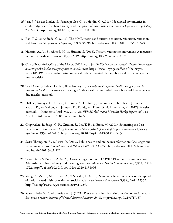- 16 Jost, J., Van der Linden, S., Panagopoulos, C., & Hardin, C. (2018). Ideological asymmetries in conformity, desire for shared reality, and the spread of misinformation. *Current Opinion in Psychology*, 23, 77-83. http://doi.org/10.1016/j.copsyc.2018.01.003
- 17 Rao, T. S., & Andrade, C. (2011). The MMR vaccine and autism: Sensation, refutation, retraction, and fraud. *Indian journal of psychiatry,* 53(2), 95–96. http://doi.org/10.4103/0019-5545.82529
- 18 Hussain, A., Ali, S., Ahmed, M., & Hussain, S. (2018). The anti-vaccination movement: A regression in modern medicine. *Cureus,* 10(7), e2919. http://doi.org/10.7759/cureus.2919
- City of New York Office of the Mayor. (2019, April 9). *De Blasio Administration's Health Department*  **19** *declares public health emergency due to measles crisis.* https://www1.nyc.gov/office-of-the-mayor/ news/186-19/de-blasio-administration-s-health-department-declares-public-health-emergency-duemeasles-crisis/
- Clark County Public Health. (2019, January 18). *County declares public health emergency due to*  **20** *measles outbreak.* https://www.clark.wa.gov/public-health/county-declares-public-health-emergencydue-measles-outbreak
- Hall, V., Banerjee, E., Kenyon, C., Strain, A., Griffith, J., Como-Sabetti, K., Heath, J., Babta, L., **21** Martin, K., McMahon, M., Johnson, D., Roddy, M., Dunn D., & Ehresmann, K. (2017). Measles outbreak — Minnesota April–May 2017. *MMWR Morbidity and Mortality Weekly Report, 66,* 713– 717. http://doi.org/10.15585/mmwr.mm6627a1
- Chigwedere, P., Seage, G. R., Gruskin, S., Lee, T. H., & Essex, M. (2008). Estimating the Lost **22** Benefits of Antiretroviral Drug Use in South Africa. *JAIDS Journal of Acquired Immune Deficiency Syndromes,* 49(4), 410–415. https://doi.org/10.1097/qai.0b013e31818a6cd5
- 23 Swire-Thompson, B., & Lazer, D. (2019). Public health and online misinformation: Challenges and Recommendations. *Annual Review of Public Health, 41,* 433-451. http://doi.org/10.1146/annurevpublhealth-040119-094127
- Chou, W.S., & Budenz, A. (2020). Considering emotion in COVID-19 vaccine communication: **24** Addressing vaccine hesitancy and fostering vaccine confidence. *Health Communication, 35*(14), 1718- 1722. http://doi.org/10.1080/10410236.2020.1838096
- Wang, Y., McKee, M., Torbica, A., & Stuckler, D. (2019). Systematic literature review on the spread **25** of health-related misinformation on social media. *Social science & medicine (1982), 240,* 112552. http://doi.org/10.1016/j.socscimed.2019.112552
- 26 Suarez-Lledo, V., & Alvarez-Galvez, J. (2021). Prevalence of health misinformation on social media: Systematic review. *Journal of Medical Internet Research, 23*(1). http://doi.org/10.2196/17187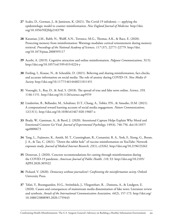- 27 Scales, D., Gorman, J., & Jamieson, K. (2021). The Covid-19 infodemic applying the epidemiologic model to counter misinformation. *New England Journal of Medicine.* http://doi. org/10.1056/NEJMp2103798
- Karanian, J.M., Rabb, N., Wulff, A.N., Torrance, M.G., Thomas, A.K., & Race, E. (2020). **28** Protecting memory from misinformation: Warnings modulate cortical reinstatement during memory retrieval. *Proceedings of the National Academy of Sciences, 117* (37), 22771-22779. http://doi. org/10.1073/pnas.2008595117
- Acerbi, A. (2019). Cognitive attraction and online misinformation. *Palgrave Communications, 5*(15). **29** http://doi.org/10.1057/s41599-019-0224-y
- Freiling, I., Krause, N., & Scheufele, D. (2021). Believing and sharing misinformation, fact-checks, **30** and accurate information on social media: The role of anxiety during COVID-19. *New Media & Society.* http://doi.org/10.1177/14614448211011451
- Vosoughi, S., Roy, D., & Aral, S. (2018). The spread of true and false news online. *Science, 359,*  **31** 1146-1151. http://doi.org/10.1126/science.aap9559
- Lindström, B., Bellander, M., Schultner, D.T., Chang, A., Tobler, P.N., & Amodio, D.M. (2021). **32** A computational reward learning account of social media engagement. *Nature Communications,* 12(1311). http://doi.org/10.1038/s41467-020-19607-x
- Brady, W., Gantman, A., & Bavel, J. (2020). Attentional Capture Helps Explain Why Moral and **33** Emotional Content Go Viral. *Journal of Experimental Psychology,* 149(4), 746-756. doi:10.1037/ xge0000673
- Tang, L., Fujimoto, K., Amith, M. T., Cunningham, R., Costantini, R. A., York, F., Xiong, G., Boom, **34** J. A., & Tao, C. (2021). "Down the rabbit hole" of vaccine misinformation on YouTube: Network exposure study. *Journal of Medical Internet Research, 23*(1), e23262. http://doi.org/10.2196/23262
- Donovan, J. (2020). Concrete recommendations for cutting through misinformation during **35** the COVID-19 pandemic. *American Journal of Public Health, 110,* S3. http://doi.org/10.2105/ AJPH.2020.305922
- Pickard, V. (2020). *Democracy without journalism?: Confronting the misinformation society.* Oxford **36** University Press.
- Tsfati, Y., Boomgaarden, H.G., Strömbäck, J., Vliegenthart, R. , Damstra, A., & Lindgren, E. **37**(2020). Causes and consequences of mainstream media dissemination of fake news: Literature review and synthesis. *Annals of the International Communication Association, 44*(2), 157-173. http://doi.org/ 10.1080/23808985.2020.1759443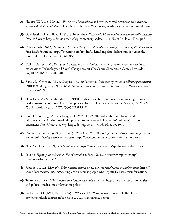- Phillips, W. (2018, May 22). *The oxygen of amplification: Better practices for reporting on extremists,*  **38** *antagonists, and manipulators.* Data & Society. https://datasociety.net/library/oxygen-of-amplification/
- Golebiewski, M. and Boyd, D. (2019, November). *Data voids: Where missing data can be easily exploited.* **39** Data & Society. https://datasociety.net/wp-content/uploads/2019/11/Data-Voids-2.0-Final.pdf
- Cubbon, Seb. (2020, December 15). *Identifying 'data deficits' can pre-empt the spread of disinformation.* **40** First Draft Footnotes. https://medium.com/1st-draft/identifying-data-deficits-can-pre-empt-thespread-of-disinformation-93bd6f680a4e
- Collins-Dexter, B. (2020, June). *Canaries in the coal mine: COVID-19 misinformation and black*  **41** *communities.* Technology and Social Change project (TaSC) and Shorenstein Center. http://doi. org/10.37016/TASC-2020-01
- Boxell, L., Gentzkow, M., & Shapiro, J. (2020, January). *Cross-country trends in affective polarization* **42** (NBER Working Paper No. 26669). National Bureau of Economic Research. http://www.nber.org/ papers/w26669
- Hameleers, M., & van der Meer, T. (2019). ). Misinformation and polarization in a high-choice **43** media environment: How effective are political fact-checkers? *Communication Research, 47*(2), 227- 250. http://doi.org/10.1177/0093650218819671
- 44 Seo, H., Blomberg, M., Altschwager, D., & Vu, H. (2020). Vulnerable populations and misinformation: A mixed-methods approach to underserved older adults' online information assessment. *New Media & Society.* http://doi.org/10.1177/1461444820925041
- Center for Countering Digital Hate. (2021, March 24). *The disinformation dozen: Why platforms must*  **45** *act on twelve leading online anti-vaxxers.* https://www.counterhate.com/disinformationdozen
- New York Times. (2021). *Daily distortions.* https://www.nytimes.com/spotlight/disinformation **46**
- Poynter. *Fighting the infodemic: The #CoronaVirusFacts alliance.* https://www.poynter.org/ **47** coronavirusfactsalliance/
- Facebook. (2021, May 26). *Taking action against people who repeatedly share misinformation.* https:// **48** about.fb.com/news/2021/05/taking-action-against-people-who-repeatedly-share-misinformation/
- Twitter (n.d.). *COVID-19 misleading information policy.* Twitter. https://help.twitter.com/en/rules-**49** and-policies/medical-misinformation-policy
- Beckerman, M. (2021, February 24). *TikTok's H2 2020 transparency report.* TikTok. https:// **50**newsroom.tiktok.com/en-us/tiktoks-h-2-2020-transparency-report